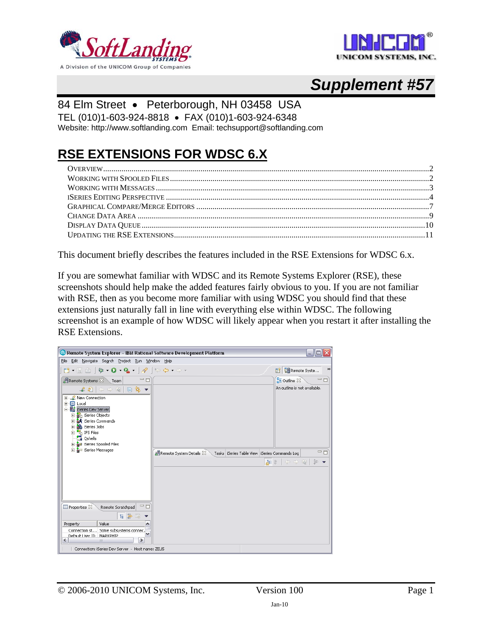



# *Supplement #57*

### 84 Elm Street • Peterborough, NH 03458 USA

TEL (010)1-603-924-8818 • FAX (010)1-603-924-6348

Website: http://www.softlanding.com Email: techsupport@softlanding.com

## **RSE EXTENSIONS FOR WDSC 6.X**

This document briefly describes the features included in the RSE Extensions for WDSC 6.x.

If you are somewhat familiar with WDSC and its Remote Systems Explorer (RSE), these screenshots should help make the added features fairly obvious to you. If you are not familiar with RSE, then as you become more familiar with using WDSC you should find that these extensions just naturally fall in line with everything else within WDSC. The following screenshot is an example of how WDSC will likely appear when you restart it after installing the RSE Extensions.

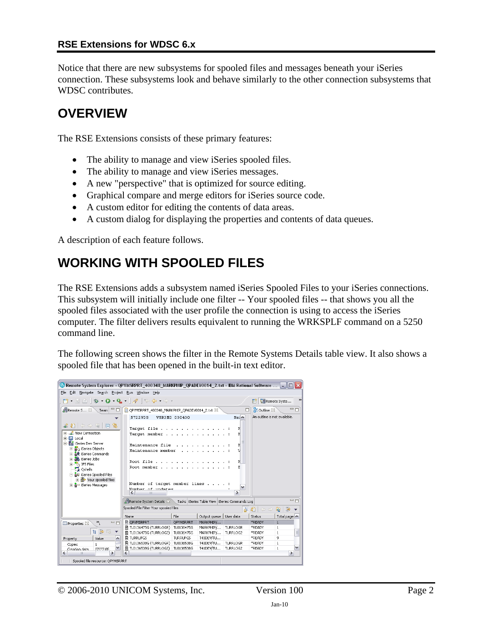Notice that there are new subsystems for spooled files and messages beneath your iSeries connection. These subsystems look and behave similarly to the other connection subsystems that WDSC contributes.

### <span id="page-1-0"></span>**OVERVIEW**

The RSE Extensions consists of these primary features:

- The ability to manage and view iSeries spooled files.
- The ability to manage and view iSeries messages.
- A new "perspective" that is optimized for source editing.
- Graphical compare and merge editors for iSeries source code.
- A custom editor for editing the contents of data areas.
- A custom dialog for displaying the properties and contents of data queues.

A description of each feature follows.

## <span id="page-1-1"></span>**WORKING WITH SPOOLED FILES**

The RSE Extensions adds a subsystem named iSeries Spooled Files to your iSeries connections. This subsystem will initially include one filter -- Your spooled files -- that shows you all the spooled files associated with the user profile the connection is using to access the iSeries computer. The filter delivers results equivalent to running the WRKSPLF command on a 5250 command line.

The following screen shows the filter in the Remote Systems Details table view. It also shows a spooled file that has been opened in the built-in text editor.

| © Remote System Explorer - QPYMSRPRT_400348_MARKPHIP_QPADEV0014_2.txt - IBM Rational Software                                                                                                                                                                                                                                                     |                                                                                                                                                                               |                 |                                                   |                                          |                                       | FIX           |               |
|---------------------------------------------------------------------------------------------------------------------------------------------------------------------------------------------------------------------------------------------------------------------------------------------------------------------------------------------------|-------------------------------------------------------------------------------------------------------------------------------------------------------------------------------|-----------------|---------------------------------------------------|------------------------------------------|---------------------------------------|---------------|---------------|
| File Edit Navigate Search Project Run Window Help                                                                                                                                                                                                                                                                                                 |                                                                                                                                                                               |                 |                                                   |                                          |                                       |               |               |
| D - H - 1                                                                                                                                                                                                                                                                                                                                         | $\mathfrak{B}\bullet\mathbf{O}\bullet\mathbf{Q}\bullet\mathbf{1}\otimes\mathbf{1}\otimes\mathbf{Q}\bullet\mathbf{0}\bullet\mathbf{0}$                                         |                 |                                                   |                                          | 畔                                     | Remote Syste  | $\rightarrow$ |
| <b>偶Remote 5</b> ※<br>Л<br>Team                                                                                                                                                                                                                                                                                                                   | OPYMSRPRT 400348 MARKPHIP OPADEV0014 2.bxt 23                                                                                                                                 |                 |                                                   | п                                        | <b>RE</b> Outline 23                  | 中日            |               |
|                                                                                                                                                                                                                                                                                                                                                   | 5722WDS                                                                                                                                                                       | V5R3M0 030430   |                                                   | $Mei^{\wedge}$                           | An outline is not available.          |               |               |
| $\ell$ and $\phi$ and $\tau$<br>田…LL New Connection<br>由 <b>El</b> Local<br>白 or Series Dev Server<br><b>B</b> n iSeries Objects<br>$\overline{+}$<br><b>A</b> iSeries Commands<br><b>A</b> iSeries Jobs<br>Ė.<br><b>ELLER</b> IFS Files<br><b>B</b> Oshells<br>白 & iSeries Spooled Files<br>+ novel Your spooled files<br>i - a iSeries Messages | Target file<br>Target member<br>Maintenance file<br>Maintenance member<br>Root file<br>Root member.<br>Number of target member lines<br>Mumber of undates<br>≺<br><b>JULI</b> |                 |                                                   | Ľ<br>ľ.<br>r.<br>F<br>v<br>$\rightarrow$ |                                       |               |               |
|                                                                                                                                                                                                                                                                                                                                                   | <b>川 Remote System Details 23</b>                                                                                                                                             |                 | Tasks   iSeries Table View   iSeries Commands Log |                                          |                                       | $=$ $\Box$    |               |
|                                                                                                                                                                                                                                                                                                                                                   | Spooled File Filter Your spooled files                                                                                                                                        |                 |                                                   |                                          | $\Leftrightarrow$ $\Rightarrow$<br>年の | 一部<br>ଢ       |               |
|                                                                                                                                                                                                                                                                                                                                                   | Name                                                                                                                                                                          | File            | Output queue   User data                          |                                          | Status                                | Total page: A |               |
| $\mathcal{P}_1$<br>$-1$<br>Properties &                                                                                                                                                                                                                                                                                                           | <b>CPYMSRPRT</b>                                                                                                                                                              | OPYMSRPRT       | MARKPHIP/                                         |                                          | *READY                                | $\mathbf{1}$  |               |
|                                                                                                                                                                                                                                                                                                                                                   | h TL0136475G (TURRLOGR) TL0136475G                                                                                                                                            |                 | MARKPHIP/   TURRLOGR                              |                                          | *READY                                | $\mathbf{1}$  |               |
| 日学园<br>$\overline{\mathbf{v}}$                                                                                                                                                                                                                                                                                                                    | A TL0136475G (TURRLOG2)                                                                                                                                                       | TL0136475G      | MARKPHIP/                                         | TURRLOG2                                 | *READY                                | $\mathbf{1}$  | $\equiv$      |
| Value<br>Property<br>۸                                                                                                                                                                                                                                                                                                                            | <b>A TURRUFGS</b>                                                                                                                                                             | <b>TURRUFGS</b> | T41DEV/TU                                         |                                          | *READY                                | q             |               |
| Copies<br>$\mathbf{1}$                                                                                                                                                                                                                                                                                                                            | 图 TL0136538G (TURRLOGR) TL0136538G                                                                                                                                            |                 | T41DEV/TU TURRLOGR                                |                                          | *READY                                | $\mathbf{1}$  |               |
| Creation date<br>07/27/05                                                                                                                                                                                                                                                                                                                         | 图 TL0136538G (TURRLOG2)   TL0136538G                                                                                                                                          |                 | T41DEV/TU TURRLOG2                                |                                          | *READY                                | $\mathbf{1}$  | v             |
| $\left\langle \right\rangle$<br>٠<br><b>III</b>                                                                                                                                                                                                                                                                                                   | $\left\langle \right\rangle$<br><b>IIII</b>                                                                                                                                   |                 |                                                   |                                          |                                       | $\rightarrow$ |               |
| Spooled file resource: QPYMSRPRT                                                                                                                                                                                                                                                                                                                  |                                                                                                                                                                               |                 |                                                   |                                          |                                       |               |               |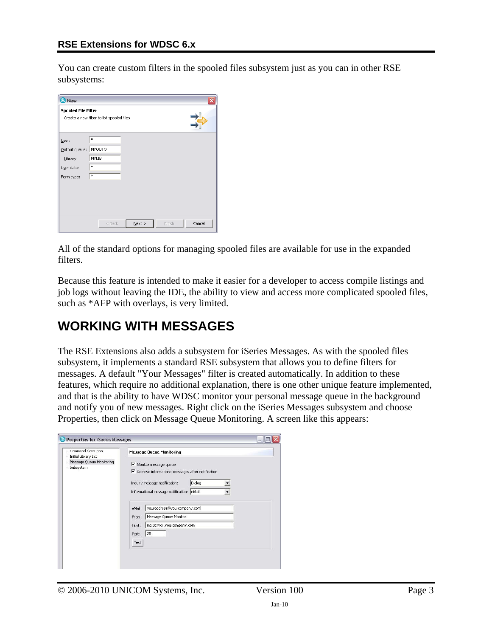You can create custom filters in the spooled files subsystem just as you can in other RSE subsystems:

| <b>O</b> New                                                   |                                           |        |
|----------------------------------------------------------------|-------------------------------------------|--------|
| <b>Spooled File Filter</b>                                     | Create a new filter to list spooled files |        |
| User:<br>Output queue:<br>Library:<br>User data:<br>Form type: | *<br>MYOUTQ<br><b>MYLIB</b><br>*<br>*     |        |
|                                                                | $N$ ext ><br>< Back<br>Finish             | Cancel |

All of the standard options for managing spooled files are available for use in the expanded filters.

Because this feature is intended to make it easier for a developer to access compile listings and job logs without leaving the IDE, the ability to view and access more complicated spooled files, such as \*AFP with overlays, is very limited.

### <span id="page-2-0"></span>**WORKING WITH MESSAGES**

The RSE Extensions also adds a subsystem for iSeries Messages. As with the spooled files subsystem, it implements a standard RSE subsystem that allows you to define filters for messages. A default "Your Messages" filter is created automatically. In addition to these features, which require no additional explanation, there is one other unique feature implemented, and that is the ability to have WDSC monitor your personal message queue in the background and notify you of new messages. Right click on the iSeries Messages subsystem and choose Properties, then click on Message Queue Monitoring. A screen like this appears:

| Command Execution                                             | <b>Message Queue Monitoring</b>                                                                                                                                                                                              |
|---------------------------------------------------------------|------------------------------------------------------------------------------------------------------------------------------------------------------------------------------------------------------------------------------|
| Initial Library List<br>Message Queue Monitoring<br>Subsystem | $\triangledown$ Monitor message queue<br>Ⅳ Remove informational messages after notification<br>Dialog<br>Inquiry message notification:<br>Informational message notification: eMail<br>youraddress@yourcompany.com<br>eMail: |
|                                                               | Message Queue Monitor<br>From:                                                                                                                                                                                               |
|                                                               | mailserver.yourcompany.com<br>Host:                                                                                                                                                                                          |
|                                                               | 25<br>Port:<br>Test                                                                                                                                                                                                          |

© 2006-2010 UNICOM Systems, Inc. Version 100 Page 3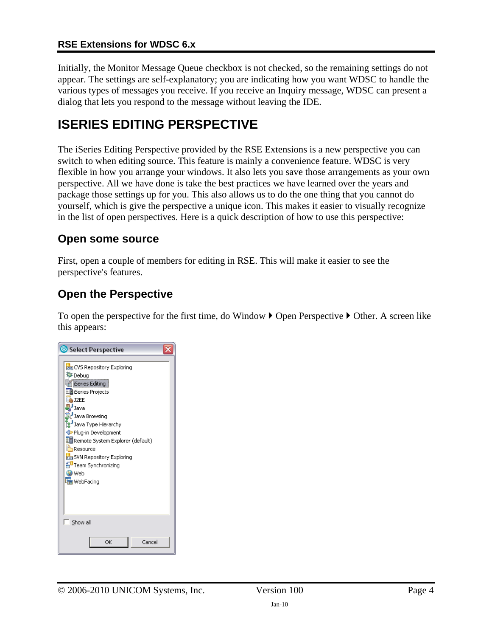Initially, the Monitor Message Queue checkbox is not checked, so the remaining settings do not appear. The settings are self-explanatory; you are indicating how you want WDSC to handle the various types of messages you receive. If you receive an Inquiry message, WDSC can present a dialog that lets you respond to the message without leaving the IDE.

### <span id="page-3-0"></span>**ISERIES EDITING PERSPECTIVE**

The iSeries Editing Perspective provided by the RSE Extensions is a new perspective you can switch to when editing source. This feature is mainly a convenience feature. WDSC is very flexible in how you arrange your windows. It also lets you save those arrangements as your own perspective. All we have done is take the best practices we have learned over the years and package those settings up for you. This also allows us to do the one thing that you cannot do yourself, which is give the perspective a unique icon. This makes it easier to visually recognize in the list of open perspectives. Here is a quick description of how to use this perspective:

### **Open some source**

First, open a couple of members for editing in RSE. This will make it easier to see the perspective's features.

### **Open the Perspective**

To open the perspective for the first time, do Window  $\blacktriangleright$  Open Perspective  $\blacktriangleright$  Other. A screen like this appears:

| Select Perspective                                                                                                                                                                                                                                                                                                                        |
|-------------------------------------------------------------------------------------------------------------------------------------------------------------------------------------------------------------------------------------------------------------------------------------------------------------------------------------------|
| cos CVS Repository Exploring<br>梦Debug<br>iSeries Editing<br>土面iSeries Projects<br>S J2EE<br>Java<br>Java Browsing<br>3 Java Type Hierarchy<br>Plug-in Development<br>E Remote System Explorer (default)<br>Resource<br><b>BUN</b> SVN Repository Exploring<br><mark>fi</mark> ∪Team Synchronizing<br><b>O</b> Web<br><b>Ha</b> WebFacing |
| Show all                                                                                                                                                                                                                                                                                                                                  |
| Cancel<br>OK                                                                                                                                                                                                                                                                                                                              |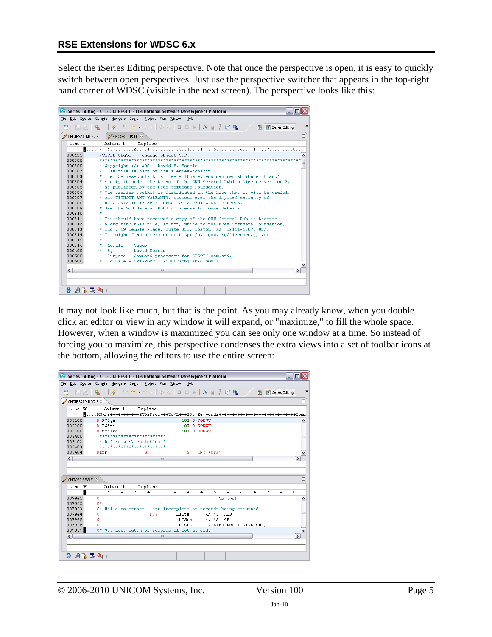Select the iSeries Editing perspective. Note that once the perspective is open, it is easy to quickly switch between open perspectives. Just use the perspective switcher that appears in the top-right hand corner of WDSC (visible in the next screen). The perspective looks like this:

|                  | $   $ o $  $ $\times$<br>C iSeries Editing - CHGOBJ.RPGLE - IBM Rational Software Development Platform |
|------------------|--------------------------------------------------------------------------------------------------------|
|                  | File Edit Source Compile Navigate Search Project Run Window Help                                       |
|                  | <b>D' · E A   Q ·   √   ↔ ↔ · → ·   ♡ ツ   ⊠ ⊠ ▶   △ ☆ 界 E R R / B   B feries Editing</b>               |
| CHGIFSATR, RPGLE | Ħ<br>CHGOBJ.RPGLE                                                                                      |
| Line 1           | Column 1<br>Replace                                                                                    |
|                  | <b>B</b> /1+2+3+4+5+6+7+8                                                                              |
| 000121           | /TITLE ChqObj - Change object CPP.                                                                     |
| 000200           |                                                                                                        |
| nnson            | * Copyright (C) 2001 David M. Morris                                                                   |
| 000302           | * This file is part of the iSeries-toolkit                                                             |
| 000303           | * The iSeries-toolkit is free software; you can redistribute it and/or                                 |
| 000304           | * modify it under the terms of the GNU General Public License version 2,                               |
| 000305           | * as published by the Free Software Foundation.                                                        |
| 000306           | * The iseries toolkit is distributed in the hope that it will be useful,                               |
| 000307           | * but WITHOUT ANY WARRANTY; without even the implied warranty of                                       |
| 000308           | * MERCHANTABILITY or FITNESS FOR A PARTICHLAR PHRPOSE.                                                 |
| 000309           | * See the GNU General Public License for more details.                                                 |
| 000310           |                                                                                                        |
| 000311           | * You should have received a copy of the GNU General Public License                                    |
| 000312           | * along with this file; if not, write to the Free Software Foundation,                                 |
| 000313           | * Inc., 59 Temple Place, Suite 330, Boston, MA 02111-1307, USA.                                        |
| 000314           | * You might find a version at http://www.gnu.org/licenses/gpl.txt                                      |
| 000315           | $\pi$                                                                                                  |
| 000316           | Module - ChgObj<br>*.                                                                                  |
| 000400           | - David Morris<br>Bv<br>*                                                                              |
| 000500           | * Purpose - Command processor for CHGOBJ command.                                                      |
| 000600           | Compile - CRTRPGMOD MODULE (objlib/CHGOBJ)<br>$\star$ .                                                |
| $\left  \right $ | $\rightarrow$<br><b>III</b>                                                                            |
|                  |                                                                                                        |
|                  |                                                                                                        |
| B: 週底電像          |                                                                                                        |

It may not look like much, but that is the point. As you may already know, when you double click an editor or view in any window it will expand, or "maximize," to fill the whole space. However, when a window is maximized you can see only one window at a time. So instead of forcing you to maximize, this perspective condenses the extra views into a set of toolbar icons at the bottom, allowing the editors to use the entire screen:

|                              | C iSeries Editing - CHGOBJ.RPGLE - IBM Rational Software Development Platform<br>اهال-          |               |
|------------------------------|-------------------------------------------------------------------------------------------------|---------------|
|                              | File Edit Source Compile Navigate Search Project Run Window Help                                |               |
|                              |                                                                                                 | $\rightarrow$ |
| CHGIFSATR.RPGLE 23           |                                                                                                 | O             |
| Line 58                      | Column 1<br>Replace                                                                             |               |
|                              | $\blacksquare$ DName+++++++++++ETDsFrom+++To/L+++IDc.Kevwords++++++++++++++++++++++++++++++Comm |               |
| 006100                       | D PCSvs<br>10I 0 CONST                                                                          | ۸             |
| 006200                       | <b>D</b> PCArc<br>10T O CONST                                                                   |               |
| 006300                       | D SysArc<br>10I O CONST                                                                         |               |
| 006400                       | *************************                                                                       |               |
| 006402                       | * Define work variables *                                                                       |               |
| 006403                       | ************************                                                                        |               |
| 006404                       | s<br>$INZ$ (*OFF)<br>DErr<br>м                                                                  |               |
| $\vert$ < $\vert$            | $\rightarrow$<br>$\mathbf{III}$                                                                 |               |
|                              |                                                                                                 |               |
|                              |                                                                                                 |               |
| CHGOBJ.RPGLE X               |                                                                                                 | Е             |
| Line 99                      | Column 1<br>Replace                                                                             |               |
|                              | 11+2+3+4+5+6+7+8                                                                                |               |
| 007941                       | $\mathbf C$<br>ObjTvp)                                                                          | ۸             |
| 007942                       | $C^*$                                                                                           |               |
| 007943                       | While no errors, list incomplete or records being returned.<br>$C^*$                            |               |
| 007944                       | LISts<br>c<br><b>DOW</b><br><> '3' AND                                                          |               |
| 007945                       | c<br>(LISts<br>$\leftrightarrow$ '2' OR                                                         |               |
| 007946                       | C.<br>LICnt<br>> LIFstRed + LIRtnCnt)                                                           |               |
| 007947                       | C* Get next batch of records if not at end.                                                     | $\checkmark$  |
| $\left\langle \right\rangle$ | $\rightarrow$<br>Ш                                                                              |               |
|                              |                                                                                                 |               |
|                              |                                                                                                 |               |
| B: 週底電階                      |                                                                                                 |               |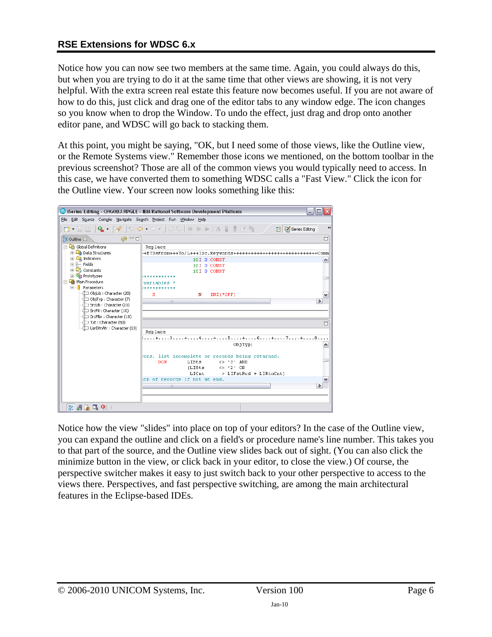Notice how you can now see two members at the same time. Again, you could always do this, but when you are trying to do it at the same time that other views are showing, it is not very helpful. With the extra screen real estate this feature now becomes useful. If you are not aware of how to do this, just click and drag one of the editor tabs to any window edge. The icon changes so you know when to drop the Window. To undo the effect, just drag and drop onto another editor pane, and WDSC will go back to stacking them.

At this point, you might be saying, "OK, but I need some of those views, like the Outline view, or the Remote Systems view." Remember those icons we mentioned, on the bottom toolbar in the previous screenshot? Those are all of the common views you would typically need to access. In this case, we have converted them to something WDSC calls a "Fast View." Click the icon for the Outline view. Your screen now looks something like this:

|                                                                  | Series Editing - CHGOBJ.RPGLE - IBM Rational Software Development Platform               |               |
|------------------------------------------------------------------|------------------------------------------------------------------------------------------|---------------|
| File Edit Source Compile Navigate Search Project Run Window Help |                                                                                          |               |
|                                                                  | D · E B   Q ·   ✔   ↔ ← → → -   ♡ ↔   □ □ ▶   △ ☆ 界 B 中 /<br><b>Ti</b> K iSeries Editing | $\rightarrow$ |
| $\circledcirc$ $\Box$<br>品outline 23                             |                                                                                          | 目             |
| ⊟ <mark>Co</mark> e Global Definitions                           | Replace                                                                                  |               |
| <b>Fi</b> - <b>Ch</b> Data Structures                            | -+ETDsFrom+++To/L+++IDc.Keywords+++++++++++++++++++++++++++++Comm                        |               |
| <b>E <i>C</i><sub>d</sub> Indicators</b>                         | 10I 0 CONST                                                                              | ۸             |
| $E =$ Fields                                                     | 10I 0 CONST                                                                              |               |
| <b>E</b> Constants<br><b>E U<sub>R</sub></b> Prototypes          | 10I 0 CONST<br>************                                                              |               |
| Main Procedure                                                   | variables                                                                                |               |
| 白 <b>i</b> Parameters                                            | ************                                                                             |               |
| └──Œ ObiLib : Character (20)                                     | s<br>$INZ$ ( $*OFF$ )<br>N                                                               | v             |
| $-\Box$ ObjTyp : Character (7)                                   | $\rightarrow$<br>III                                                                     |               |
| …∐ SrcLib : Character (10)                                       |                                                                                          |               |
| ---—{`___] SrcFil : Character (10)                               |                                                                                          |               |
| —∐ SrcMbr : Character (10)                                       |                                                                                          |               |
| —III Txt : Character (50)<br>UsrDfnAtr : Character (10)          |                                                                                          | Ħ             |
|                                                                  | Replace                                                                                  |               |
|                                                                  | :+3+4+5+6+7+8                                                                            |               |
|                                                                  | ObjTyp)                                                                                  | ۸             |
|                                                                  |                                                                                          |               |
|                                                                  | ors, list incomplete or records being returned.                                          |               |
|                                                                  | LISts<br><b>DOW</b><br><> '3' AND<br>$(L1Sts \t < > '2' OR$                              |               |
|                                                                  | LICnt<br>> LIFstRcd + LIRtnCnt)                                                          |               |
|                                                                  | ch of records if not at end.                                                             | $\checkmark$  |
|                                                                  | $\rightarrow$<br><b>IIII</b>                                                             |               |
|                                                                  |                                                                                          |               |
|                                                                  |                                                                                          |               |
| 5: 週 6: 『 9』                                                     |                                                                                          |               |

Notice how the view "slides" into place on top of your editors? In the case of the Outline view, you can expand the outline and click on a field's or procedure name's line number. This takes you to that part of the source, and the Outline view slides back out of sight. (You can also click the minimize button in the view, or click back in your editor, to close the view.) Of course, the perspective switcher makes it easy to just switch back to your other perspective to access to the views there. Perspectives, and fast perspective switching, are among the main architectural features in the Eclipse-based IDEs.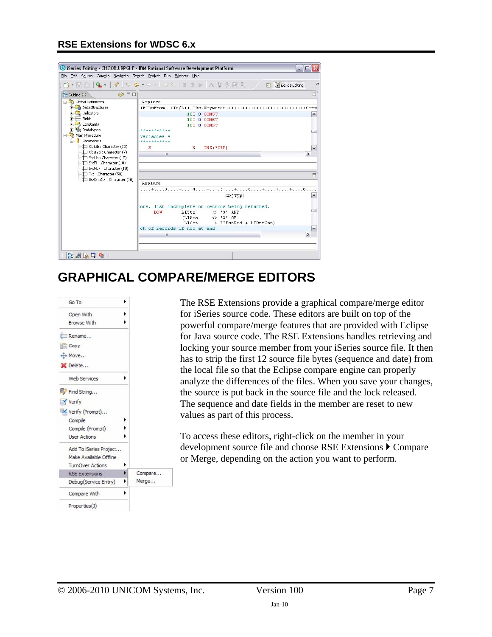

## **GRAPHICAL COMPARE/MERGE EDITORS**

<span id="page-6-0"></span>

The RSE Extensions provide a graphical compare/merge editor for iSeries source code. These editors are built on top of the powerful compare/merge features that are provided with Eclipse for Java source code. The RSE Extensions handles retrieving and locking your source member from your iSeries source file. It then has to strip the first 12 source file bytes (sequence and date) from the local file so that the Eclipse compare engine can properly analyze the differences of the files. When you save your changes, the source is put back in the source file and the lock released. The sequence and date fields in the member are reset to new values as part of this process.

To access these editors, right-click on the member in your development source file and choose RSE Extensions  $\triangleright$  Compare or Merge, depending on the action you want to perform.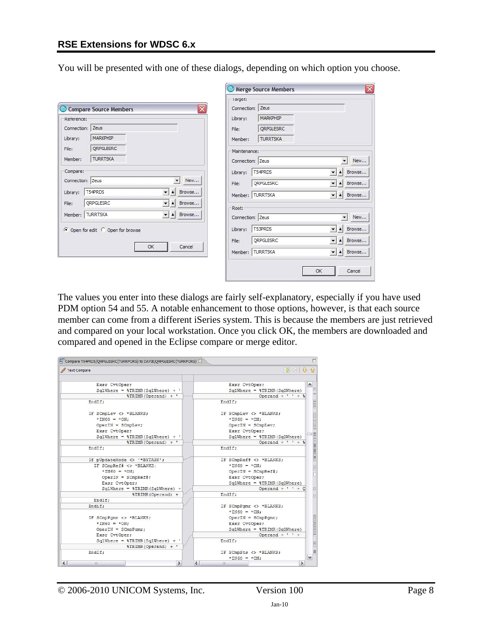You will be presented with one of these dialogs, depending on which option you choose.

|                                                           | Merge Source Members                                                          |
|-----------------------------------------------------------|-------------------------------------------------------------------------------|
|                                                           | larget:                                                                       |
| $ \overline{\mathsf{x}} $<br>Compare Source Members       | Connection: Zeus                                                              |
| Reference:                                                | MARKPHIP<br>Library:                                                          |
| Connection: Zeus                                          | ORPGLESRC<br>File:                                                            |
| MARKPHIP<br>Library:                                      | <b>TURRTSKA</b><br>Member:                                                    |
| QRPGLESRC<br>File:                                        | Maintenance:                                                                  |
| <b>TURRTSKA</b><br>Member:                                | $\overline{\phantom{a}}$<br>New<br>Connection: Zeus                           |
| Compare:                                                  | T54PRDS<br>Browse<br>$\blacktriangledown$<br>$\blacktriangle$<br>Library:     |
| New<br>Connection: Zeus                                   | ORPGLESRC<br>Browse<br>$\overline{\phantom{a}}$<br>File:<br>$\blacktriangle$  |
| T54PRDS<br>Browse<br>Library:<br>$\blacktriangle$<br>▾    | Member: TURRTSKA<br>$\mathbf{r}$ $\mathbf{r}$<br>Browse                       |
| QRPGLESRC<br>Browse<br>File:<br>쇠                         | Root:                                                                         |
| Member: TURRTSKA<br>$\vert$<br>Browse<br>$\blacktriangle$ | $\overline{\phantom{a}}$<br>Connection: Zeus<br>New                           |
| ⊙ Open for edit ○ Open for browse                         | T53PRDS<br>$\overline{\phantom{a}}$<br>Browse<br>$\blacktriangle$<br>Library: |
|                                                           | QRPGLESRC<br>$\overline{\phantom{a}}$<br>Browse<br>$\blacktriangle$<br>File:  |
| Cancel<br>ОК                                              | Member: TURRTSKA<br>$\left  \cdot \right $<br>$\blacktriangle$<br>Browse      |
|                                                           |                                                                               |
|                                                           | Cancel<br>OK                                                                  |

The values you enter into these dialogs are fairly self-explanatory, especially if you have used PDM option 54 and 55. A notable enhancement to those options, however, is that each source member can come from a different iSeries system. This is because the members are just retrieved and compared on your local workstation. Once you click OK, the members are downloaded and compared and opened in the Eclipse compare or merge editor.

| Exsr CvtOper:                             | Exsr CvtOper:                      |
|-------------------------------------------|------------------------------------|
| $Sq$ lWhere = \\\text{TRIMR(SqlWhere) + ' | $Sq$ lWhere = $\S$ TRIMR(SqlWhere) |
| %TRIMR(Operand) + '                       | Operand + $'$ $'$ + $\frac{1}{3}$  |
| EndIf:                                    | EndIf:                             |
| IF SCmpLev <> *BLANKS;                    | IF SCmpLev <> *BLANKS;             |
| $*INGO = *ON$                             | $*INGO = *ON$ :                    |
| $OperIN = SCmplex;$                       | $OperIN = SCmplex;$                |
| Exsr CvtOper;                             | Exsr CvtOper;                      |
| $SglWhere = $TRIMR(SglWhere) + '$         | $SglWhere = $TRIMR(SglWhere)$      |
| $\text{TRIMR}(\text{Operand}) + '$        | Operand + $'$ $'$ + $\frac{1}{3}$  |
| EndIf:                                    | EndIf:                             |
| If pUpdateMode <> '*BYTASK';              | IF SCmpRef# <> *BLANKS;            |
| IF SCmpRef# <> *BLANKS;                   | $*IN60 = *ON$ :                    |
| $*$ IN60 = $*$ ON:                        | $OperIN = SCmpRef$ #;              |
| $OperIN = SCmpRef$ :                      | Exsr CvtOper:                      |
| Exsr CvtOper;                             | $Sq$ lWhere = $\S$ TRIMR(SqlWhere) |
| $Sq$ lWhere = $\S$ TRIMR(SqlWhere) +      | Operand $+$ ' ' + $Q$              |
| <b><i><u>*TRIMR(Operand) +</u></i></b>    | EndIf:                             |
| EndIf:                                    |                                    |
| Endif:                                    | IF SCmpPomr <> *BLANKS;            |
|                                           | $*INGO = *ON$ :                    |
| IF SCmpPqmr <> *BLANKS;                   | $OperIN = SCmpPqmr;$               |
| $*INGO = *ON$ :                           | Exsr CvtOper;                      |
| $OperIN = SCompPomr$ ;                    | $SglWhere = $TRIMR(SglWhere)$      |
| Exsr CvtOper:                             | Operand $+$ ' ' +                  |
| $Sq$ lWhere = $\S$ TRIMR(SqlWhere) + '    | EndIf:                             |
| <i><b>\times</b></i> (Operand) + '        |                                    |
| EndIf;                                    | IF SCmpSts <> *BLANKS;             |
|                                           | $*$ IN60 = $*$ ON:                 |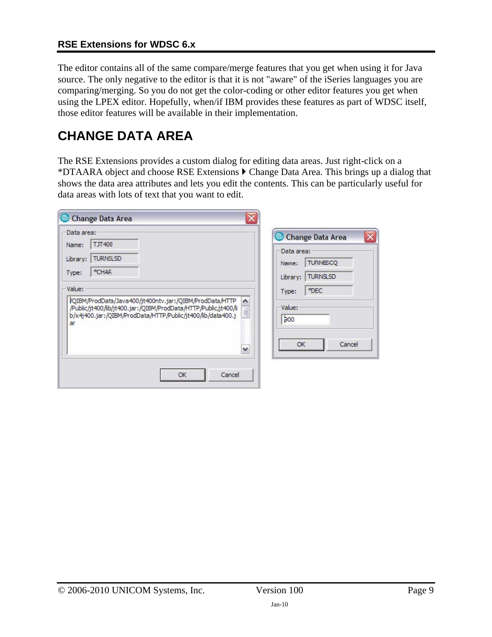The editor contains all of the same compare/merge features that you get when using it for Java source. The only negative to the editor is that it is not "aware" of the iSeries languages you are comparing/merging. So you do not get the color-coding or other editor features you get when using the LPEX editor. Hopefully, when/if IBM provides these features as part of WDSC itself, those editor features will be available in their implementation.

## <span id="page-8-0"></span>**CHANGE DATA AREA**

The RSE Extensions provides a custom dialog for editing data areas. Just right-click on a \*DTAARA object and choose RSE Extensions  $\blacktriangleright$  Change Data Area. This brings up a dialog that shows the data area attributes and lets you edit the contents. This can be particularly useful for data areas with lots of text that you want to edit.

| Data area: |                                                                                                                                                                                           | Change Data Area                          |
|------------|-------------------------------------------------------------------------------------------------------------------------------------------------------------------------------------------|-------------------------------------------|
| Name:      | <b>TJT400</b>                                                                                                                                                                             | Data area:                                |
| Library:   | <b>TURNSLSD</b>                                                                                                                                                                           | <b>TURNESCQ</b><br>Name:                  |
| Type:      | *CHAR                                                                                                                                                                                     | <b>TURNSLSD</b><br>Library:               |
| Value:     |                                                                                                                                                                                           | *DEC<br>Type:                             |
| ar         | VQIBM/ProdData/Java400/jt400ntv.jar:/QIBM/ProdData/HTTP<br>/Public/jt400/lib/jt400.jar:/QIBM/ProdData/HTTP/Public/jt400/li<br>b/x4j400.jar:/QIBM/ProdData/HTTP/Public/jt400/lib/data400.j | $\boldsymbol{\wedge}$<br>Value:<br>$b$ 00 |
|            |                                                                                                                                                                                           | OK<br>Cancel<br>×                         |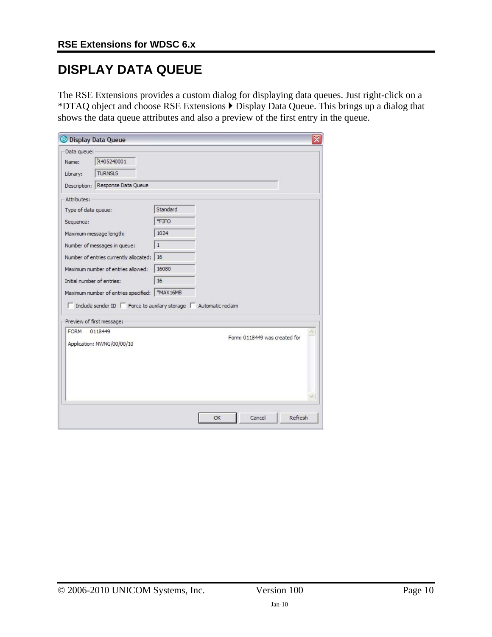## <span id="page-9-0"></span>**DISPLAY DATA QUEUE**

The RSE Extensions provides a custom dialog for displaying data queues. Just right-click on a \*DTAQ object and choose RSE Extensions  $\blacktriangleright$  Display Data Queue. This brings up a dialog that shows the data queue attributes and also a preview of the first entry in the queue.

| <b>Display Data Queue</b>                                                                                       |                               |
|-----------------------------------------------------------------------------------------------------------------|-------------------------------|
| Data queue:                                                                                                     |                               |
| 2405240001<br>Name:                                                                                             |                               |
| <b>TURNSLS</b><br>Library:                                                                                      |                               |
| Description: Response Data Queue                                                                                |                               |
| Attributes:                                                                                                     |                               |
| Type of data queue:                                                                                             | Standard                      |
| Sequence:                                                                                                       | *FIFO                         |
| Maximum message length:                                                                                         | 1024                          |
| Number of messages in queue:                                                                                    | $\mathbf{1}$                  |
| Number of entries currently allocated:                                                                          | 16                            |
| Maximum number of entries allowed:                                                                              | 16080                         |
| Initial number of entries:                                                                                      | 16                            |
| Maximum number of entries specified:   *MAX16MB                                                                 |                               |
| $\Box$ Include sender ID $\Box$ Force to auxilary storage $\Box$ Automatic reclaim<br>Preview of first message: |                               |
| <b>FORM</b><br>0118449                                                                                          |                               |
| Application: NWNG/00/00/10                                                                                      | Form: 0118449 was created for |
|                                                                                                                 |                               |
|                                                                                                                 |                               |
|                                                                                                                 | Cancel<br>Refresh             |